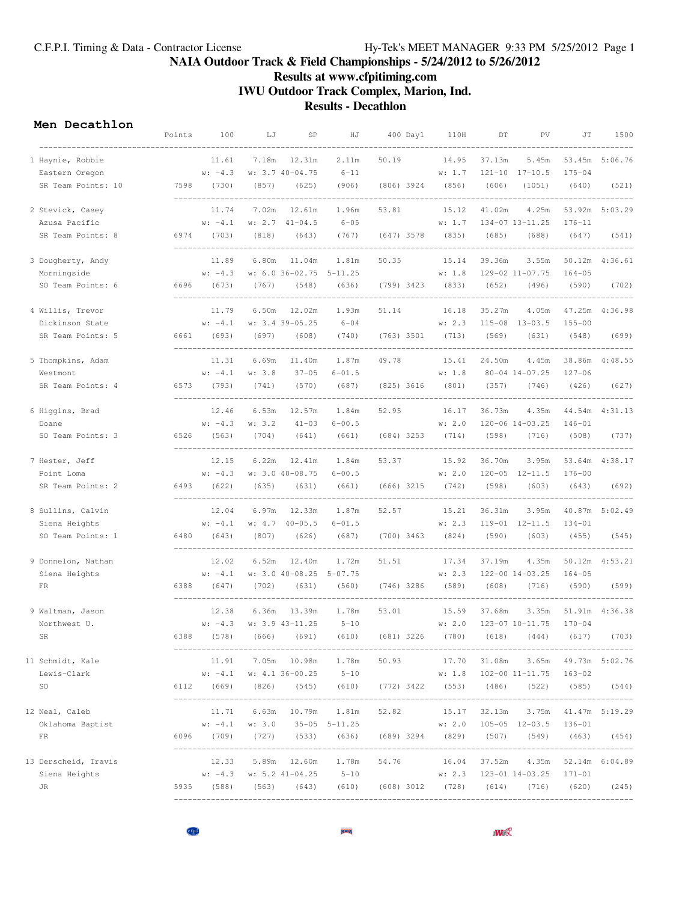# **NAIA Outdoor Track & Field Championships - 5/24/2012 to 5/26/2012 Results at www.cfpitiming.com IWU Outdoor Track Complex, Marion, Ind.**

## **Results - Decathlon**

#### **Men Decathlon**

|                      | Points | 100                          | LJ         | SP                                   | HJ                                  |              | 400 Day1 | 110H                   | DT     | PV                                           | JT                   | 1500            |
|----------------------|--------|------------------------------|------------|--------------------------------------|-------------------------------------|--------------|----------|------------------------|--------|----------------------------------------------|----------------------|-----------------|
| 1 Haynie, Robbie     |        | 11.61                        | 7.18m      | 12.31m                               | 2.11m                               | 50.19        |          | 14.95                  | 37.13m | 5.45m                                        |                      | 53.45m 5:06.76  |
| Eastern Oregon       |        | $w: -4.3$                    |            | w: 3.7 40-04.75                      | $6 - 11$                            |              |          | w: 1.7                 |        | $121 - 10$ $17 - 10.5$                       | $175 - 04$           |                 |
| SR Team Points: 10   | 7598   | (730)                        | (857)      | (625)                                | (906)                               | (806) 3924   |          | (856)                  | (606)  | (1051)                                       | (640)                | (521)           |
| 2 Stevick, Casey     |        | 11.74                        | 7.02m      | 12.61m                               | 1.96m                               | 53.81        |          | 15.12                  | 41.02m | 4.25m                                        | 53.92m               | 5:03.29         |
| Azusa Pacific        |        | $w: -4.1$                    | w: 2.7     | $41 - 04.5$                          | $6 - 05$                            |              |          | w: 1.7                 |        | 134-07 13-11.25                              | $176 - 11$           |                 |
| SR Team Points: 8    | 6974   | (703)                        | (818)      | (643)                                | (767)                               | $(647)$ 3578 |          | (835)                  | (685)  | (688)                                        | (647)                | (541)           |
| 3 Dougherty, Andy    |        | 11.89                        | 6.80m      | 11.04m                               | 1.81m                               | 50.35        |          | 15.14                  | 39.36m | 3.55m                                        |                      | 50.12m  4:36.61 |
| Morningside          |        | $w: -4.3$                    |            | w: 6.0 36-02.75                      | $5 - 11.25$                         |              |          | w: 1.8                 |        | 129-02 11-07.75                              | $164 - 05$           |                 |
| SO Team Points: 6    | 6696   | (673)                        | (767)      | (548)                                | (636)                               | (799) 3423   |          | (833)                  | (652)  | (496)                                        | (590)                | (702)           |
| 4 Willis, Trevor     |        | 11.79                        | 6.50m      | 12.02m                               | 1.93m                               | 51.14        |          | 16.18                  | 35.27m | 4.05m                                        |                      | 47.25m  4:36.98 |
| Dickinson State      |        | $w: -4.1$                    |            | w: 3.4 39-05.25                      | $6 - 04$                            |              |          | w: 2.3                 |        | $115 - 08$ $13 - 03.5$                       | $155 - 00$           |                 |
| SR Team Points: 5    | 6661   | (693)                        | (697)      | (608)                                | (740)                               | (763) 3501   |          | (713)                  | (569)  | (631)                                        | (548)                | (699)           |
| 5 Thompkins, Adam    |        | 11.31                        | 6.69m      | 11.40m                               | 1.87m                               | 49.78        |          | 15.41                  | 24.50m | 4.45m                                        | 38.86m               | 4:48.55         |
| Westmont             |        | $w: -4.1$                    | w: 3.8     | $37 - 05$                            | $6 - 01.5$                          |              |          | w: 1.8                 |        | $80 - 04$ 14-07.25                           | $127 - 06$           |                 |
| SR Team Points: 4    | 6573   | (793)                        | (741)      | (570)                                | (687)                               | (825) 3616   |          | (801)                  | (357)  | (746)                                        | (426)                | (627)           |
| 6 Higgins, Brad      |        | 12.46                        | 6.53m      | 12.57m                               | 1.84m                               | 52.95        |          | 16.17                  | 36.73m | 4.35m                                        |                      | 44.54m  4:31.13 |
| Doane                |        | $w: -4.3$                    | w: 3.2     | $41 - 03$                            | $6 - 00.5$                          |              |          | w: 2.0                 |        | 120-06 14-03.25                              | $146 - 01$           |                 |
| SO Team Points: 3    | 6526   | (563)                        | (704)      | (641)                                | (661)                               | $(684)$ 3253 |          | (714)                  | (598)  | (716)                                        | (508)                | (737)           |
| 7 Hester, Jeff       |        | 12.15                        | 6.22m      | 12.41m                               | 1.84m                               | 53.37        |          | 15.92                  | 36.70m | 3.95m                                        |                      | 53.64m  4:38.17 |
| Point Loma           |        | $w: -4.3$                    |            | w: 3.0 40-08.75                      | $6 - 00.5$                          |              |          | w: 2.0                 |        | $120 - 05$ $12 - 11.5$                       | $176 - 00$           |                 |
| SR Team Points: 2    | 6493   | (622)                        | (635)      | (631)                                | (661)                               | $(666)$ 3215 |          | (742)                  | (598)  | (603)                                        | (643)                | (692)           |
| 8 Sullins, Calvin    |        | 12.04                        | 6.97m      | 12.33m                               | 1.87m                               | 52.57        |          | 15.21                  | 36.31m | 3.95m                                        |                      | 40.87m 5:02.49  |
| Siena Heights        |        | $w: -4.1$                    | w: 4.7     | $40 - 05.5$                          | $6 - 01.5$                          |              |          | w: 2.3                 |        | $119 - 01$ $12 - 11.5$                       | $134 - 01$           |                 |
| SO Team Points: 1    | 6480   | (643)                        | (807)      | (626)                                | (687)                               | $(700)$ 3463 |          | (824)                  | (590)  | (603)                                        | (455)                | (545)           |
| 9 Donnelon, Nathan   |        | 12.02                        | 6.52m      | 12.40m                               | 1.72m                               | 51.51        |          | 17.34                  | 37.19m | 4.35m                                        |                      | 50.12m  4:53.21 |
| Siena Heights        |        | $w: -4.1$                    |            | w: 3.0 40-08.25                      | $5 - 07.75$                         |              |          | w: 2.3                 |        | 122-00 14-03.25                              | $164 - 05$           |                 |
| ${\rm FR}$           | 6388   | (647)                        | (702)      | (631)                                | (560)                               | $(746)$ 3286 |          | (589)                  | (608)  | (716)                                        | (590)                | (599)           |
| 9 Waltman, Jason     |        | 12.38                        | 6.36m      | 13.39m                               | 1.78m                               | 53.01        |          | 15.59                  | 37.68m | 3.35m                                        |                      | 51.91m  4:36.38 |
| Northwest U.         |        | $w: -4.3$                    |            | w: 3.9 43-11.25                      | $5 - 10$                            |              |          | w: 2.0                 |        | 123-07 10-11.75                              | $170 - 04$           |                 |
| SR                   | 6388   | (578)                        | (666)      | (691)                                | (610)                               | $(681)$ 3226 |          | (780)                  | (618)  | (444)                                        | (617)                | (703)           |
| 11 Schmidt, Kale     |        | 11.91                        |            | 7.05m 10.98m                         | 1.78m                               |              |          | 50.93 17.70            | 31.08m |                                              | 3.65m 49.73m 5:02.76 |                 |
| Lewis-Clark          |        |                              |            | $w: -4.1$ $w: 4.1$ 36-00.25          | $5 - 10$                            |              |          |                        |        | w: 1.8  102-00 11-11.75  163-02              |                      |                 |
| SO                   |        | 6112 (669)                   | (826)<br>. |                                      | $(545)$ $(610)$<br>________________ |              |          | (772) 3422 (553) (486) |        |                                              | $(522)$ $(585)$      | (544)           |
| 12 Neal, Caleb       |        | 11.71                        |            | 6.63m 10.79m                         | 1.81m                               |              | 52.82    | 15.17                  | 32.13m |                                              | 3.75m 41.47m 5:19.29 |                 |
| Oklahoma Baptist     |        |                              |            | $w: -4.1$ $w: 3.0$ $35-05$ $5-11.25$ |                                     |              |          | w: 2.0                 |        | $105-05$ $12-03.5$ $136-01$                  |                      |                 |
| FR                   |        | 6096 (709)<br>______________ |            | $(727)$ (533)                        | (636)                               |              |          | $(689)$ 3294 $(829)$   | (507)  |                                              | $(549)$ $(463)$      | (454)           |
| 13 Derscheid, Travis |        | 12.33                        |            | 5.89m 12.60m                         | 1.78m                               | 54.76        |          | 16.04                  | 37.52m |                                              | 4.35m 52.14m 6:04.89 |                 |
| Siena Heights        |        |                              |            | w: $-4.3$ w: 5.2 41-04.25 5-10       |                                     |              |          |                        |        | w: 2.3 123-01 14-03.25 171-01                |                      |                 |
| JR                   |        | 5935 (588)                   |            | (563) (643) (610)                    |                                     |              |          |                        |        | $(608) 3012$ $(728)$ $(614)$ $(716)$ $(620)$ |                      | (245)           |

NATA

**MIK** 

e.f.p.i.